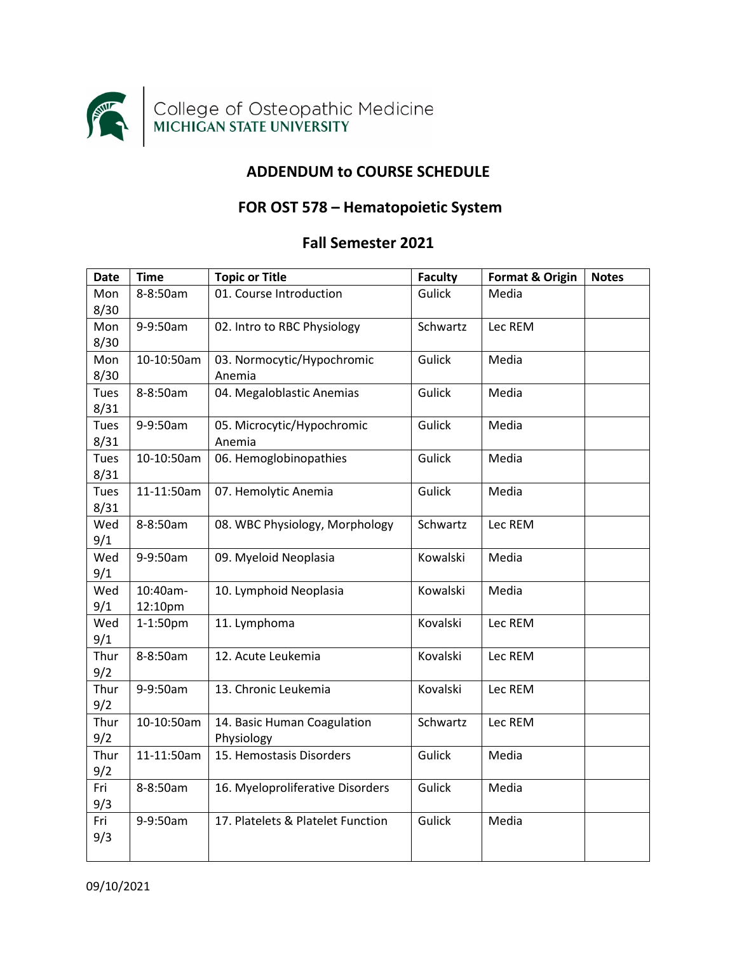

## **ADDENDUM to COURSE SCHEDULE**

## **FOR OST 578 – Hematopoietic System**

## **Fall Semester 2021**

| <b>Date</b> | <b>Time</b> | <b>Topic or Title</b>             | <b>Faculty</b> | <b>Format &amp; Origin</b> | <b>Notes</b> |
|-------------|-------------|-----------------------------------|----------------|----------------------------|--------------|
| Mon         | 8-8:50am    | 01. Course Introduction           | <b>Gulick</b>  | Media                      |              |
| 8/30        |             |                                   |                |                            |              |
| Mon         | 9-9:50am    | 02. Intro to RBC Physiology       | Schwartz       | Lec REM                    |              |
| 8/30        |             |                                   |                |                            |              |
| Mon         | 10-10:50am  | 03. Normocytic/Hypochromic        | Gulick         | Media                      |              |
| 8/30        |             | Anemia                            |                |                            |              |
| Tues        | 8-8:50am    | 04. Megaloblastic Anemias         | Gulick         | Media                      |              |
| 8/31        |             |                                   |                |                            |              |
| Tues        | 9-9:50am    | 05. Microcytic/Hypochromic        | Gulick         | Media                      |              |
| 8/31        |             | Anemia                            |                |                            |              |
| Tues        | 10-10:50am  | 06. Hemoglobinopathies            | Gulick         | Media                      |              |
| 8/31        |             |                                   |                |                            |              |
| Tues        | 11-11:50am  | 07. Hemolytic Anemia              | Gulick         | Media                      |              |
| 8/31        |             |                                   |                |                            |              |
| Wed         | 8-8:50am    | 08. WBC Physiology, Morphology    | Schwartz       | Lec REM                    |              |
| 9/1         |             |                                   |                |                            |              |
| Wed         | 9-9:50am    | 09. Myeloid Neoplasia             | Kowalski       | Media                      |              |
| 9/1         |             |                                   |                |                            |              |
| Wed         | 10:40am-    | 10. Lymphoid Neoplasia            | Kowalski       | Media                      |              |
| 9/1         | 12:10pm     |                                   |                |                            |              |
| Wed         | 1-1:50pm    | 11. Lymphoma                      | Kovalski       | Lec REM                    |              |
| 9/1         |             |                                   |                |                            |              |
| Thur        | 8-8:50am    | 12. Acute Leukemia                | Kovalski       | Lec REM                    |              |
| 9/2         |             |                                   |                |                            |              |
| Thur        | 9-9:50am    | 13. Chronic Leukemia              | Kovalski       | Lec REM                    |              |
| 9/2         |             |                                   |                |                            |              |
| Thur        | 10-10:50am  | 14. Basic Human Coagulation       | Schwartz       | Lec REM                    |              |
| 9/2         |             | Physiology                        |                |                            |              |
| Thur        | 11-11:50am  | 15. Hemostasis Disorders          | Gulick         | Media                      |              |
| 9/2         |             |                                   |                |                            |              |
| Fri         | 8-8:50am    | 16. Myeloproliferative Disorders  | Gulick         | Media                      |              |
| 9/3         |             |                                   |                |                            |              |
| Fri         | 9-9:50am    | 17. Platelets & Platelet Function | Gulick         | Media                      |              |
| 9/3         |             |                                   |                |                            |              |
|             |             |                                   |                |                            |              |